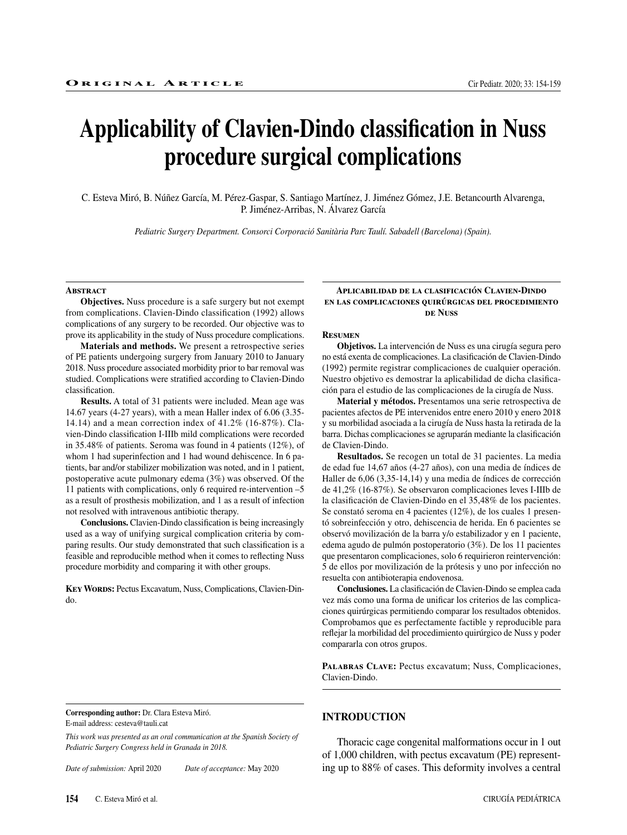# **Applicability of Clavien-Dindo classification in Nuss procedure surgical complications**

C. Esteva Miró, B. Núñez García, M. Pérez-Gaspar, S. Santiago Martínez, J. Jiménez Gómez, J.E. Betancourth Alvarenga, P. Jiménez-Arribas, N. Álvarez García

*Pediatric Surgery Department. Consorci Corporació Sanitària Parc Taulí. Sabadell (Barcelona) (Spain).*

#### **Abstract**

**Objectives.** Nuss procedure is a safe surgery but not exempt from complications. Clavien-Dindo classification (1992) allows complications of any surgery to be recorded. Our objective was to prove its applicability in the study of Nuss procedure complications.

**Materials and methods.** We present a retrospective series of PE patients undergoing surgery from January 2010 to January 2018. Nuss procedure associated morbidity prior to bar removal was studied. Complications were stratified according to Clavien-Dindo classification.

**Results.** A total of 31 patients were included. Mean age was 14.67 years (4-27 years), with a mean Haller index of 6.06 (3.35- 14.14) and a mean correction index of 41.2% (16-87%). Clavien-Dindo classification I-IIIb mild complications were recorded in 35.48% of patients. Seroma was found in 4 patients (12%), of whom 1 had superinfection and 1 had wound dehiscence. In 6 patients, bar and/or stabilizer mobilization was noted, and in 1 patient, postoperative acute pulmonary edema (3%) was observed. Of the 11 patients with complications, only 6 required re-intervention –5 as a result of prosthesis mobilization, and 1 as a result of infection not resolved with intravenous antibiotic therapy.

**Conclusions.** Clavien-Dindo classification is being increasingly used as a way of unifying surgical complication criteria by comparing results. Our study demonstrated that such classification is a feasible and reproducible method when it comes to reflecting Nuss procedure morbidity and comparing it with other groups.

**Key Words:** Pectus Excavatum, Nuss, Complications, Clavien-Dindo.

**Corresponding author:** Dr. Clara Esteva Miró. E-mail address: cesteva@tauli.cat

*This work was presented as an oral communication at the Spanish Society of Pediatric Surgery Congress held in Granada in 2018.*

*Date of submission:* April 2020 *Date of acceptance:* May 2020

#### **Aplicabilidad de la clasificación Clavien-Dindo en las complicaciones quirúrgicas del procedimiento de Nuss**

#### **Resumen**

**Objetivos.** La intervención de Nuss es una cirugía segura pero no está exenta de complicaciones. La clasificación de Clavien-Dindo (1992) permite registrar complicaciones de cualquier operación. Nuestro objetivo es demostrar la aplicabilidad de dicha clasificación para el estudio de las complicaciones de la cirugía de Nuss.

**Material y métodos.** Presentamos una serie retrospectiva de pacientes afectos de PE intervenidos entre enero 2010 y enero 2018 y su morbilidad asociada a la cirugía de Nuss hasta la retirada de la barra. Dichas complicaciones se agruparán mediante la clasificación de Clavien-Dindo.

**Resultados.** Se recogen un total de 31 pacientes. La media de edad fue 14,67 años (4-27 años), con una media de índices de Haller de 6,06 (3,35-14,14) y una media de índices de corrección de 41,2% (16-87%). Se observaron complicaciones leves I-IIIb de la clasificación de Clavien-Dindo en el 35,48% de los pacientes. Se constató seroma en 4 pacientes (12%), de los cuales 1 presentó sobreinfección y otro, dehiscencia de herida. En 6 pacientes se observó movilización de la barra y/o estabilizador y en 1 paciente, edema agudo de pulmón postoperatorio (3%). De los 11 pacientes que presentaron complicaciones, solo 6 requirieron reintervención: 5 de ellos por movilización de la prótesis y uno por infección no resuelta con antibioterapia endovenosa.

**Conclusiones.** La clasificación de Clavien-Dindo se emplea cada vez más como una forma de unificar los criterios de las complicaciones quirúrgicas permitiendo comparar los resultados obtenidos. Comprobamos que es perfectamente factible y reproducible para reflejar la morbilidad del procedimiento quirúrgico de Nuss y poder compararla con otros grupos.

**Palabras Clave:** Pectus excavatum; Nuss, Complicaciones, Clavien-Dindo.

### **INTRODUCTION**

Thoracic cage congenital malformations occur in 1 out of 1,000 children, with pectus excavatum (PE) representing up to 88% of cases. This deformity involves a central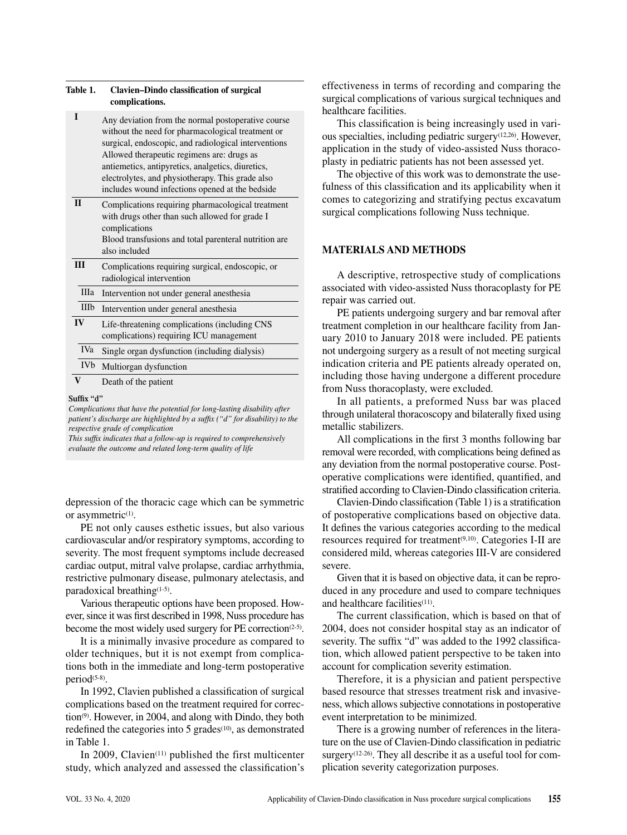### **Table 1. Clavien–Dindo classification of surgical complications.**

- **I** Any deviation from the normal postoperative course without the need for pharmacological treatment or surgical, endoscopic, and radiological interventions Allowed therapeutic regimens are: drugs as antiemetics, antipyretics, analgetics, diuretics, electrolytes, and physiotherapy. This grade also includes wound infections opened at the bedside
- **II** Complications requiring pharmacological treatment with drugs other than such allowed for grade I complications Blood transfusions and total parenteral nutrition are also included
- **III** Complications requiring surgical, endoscopic, or radiological intervention
- IIIa Intervention not under general anesthesia
- IIIb Intervention under general anesthesia
- **IV** Life-threatening complications (including CNS complications) requiring ICU management
	- IVa Single organ dysfunction (including dialysis)
- IVb Multiorgan dysfunction
- **V** Death of the patient

#### **Suffix "d"**

*Complications that have the potential for long-lasting disability after patient's discharge are highlighted by a suffix ("d" for disability) to the respective grade of complication*

*This suffix indicates that a follow-up is required to comprehensively evaluate the outcome and related long-term quality of life*

depression of the thoracic cage which can be symmetric or asymmetric<sup>(1)</sup>.

PE not only causes esthetic issues, but also various cardiovascular and/or respiratory symptoms, according to severity. The most frequent symptoms include decreased cardiac output, mitral valve prolapse, cardiac arrhythmia, restrictive pulmonary disease, pulmonary atelectasis, and paradoxical breathing<sup>(1-5)</sup>.

Various therapeutic options have been proposed. However, since it was first described in 1998, Nuss procedure has become the most widely used surgery for  $PE$  correction<sup> $(2-5)$ </sup>.

It is a minimally invasive procedure as compared to older techniques, but it is not exempt from complications both in the immediate and long-term postoperative period(5-8).

In 1992, Clavien published a classification of surgical complications based on the treatment required for correction(9). However, in 2004, and along with Dindo, they both redefined the categories into  $5$  grades<sup> $(10)$ </sup>, as demonstrated in Table 1.

In 2009, Clavien<sup> $(11)$ </sup> published the first multicenter study, which analyzed and assessed the classification's

effectiveness in terms of recording and comparing the surgical complications of various surgical techniques and healthcare facilities.

This classification is being increasingly used in various specialties, including pediatric surgery(12,26). However, application in the study of video-assisted Nuss thoracoplasty in pediatric patients has not been assessed yet.

The objective of this work was to demonstrate the usefulness of this classification and its applicability when it comes to categorizing and stratifying pectus excavatum surgical complications following Nuss technique.

# **MATERIALS AND METHODS**

A descriptive, retrospective study of complications associated with video-assisted Nuss thoracoplasty for PE repair was carried out.

PE patients undergoing surgery and bar removal after treatment completion in our healthcare facility from January 2010 to January 2018 were included. PE patients not undergoing surgery as a result of not meeting surgical indication criteria and PE patients already operated on, including those having undergone a different procedure from Nuss thoracoplasty, were excluded.

In all patients, a preformed Nuss bar was placed through unilateral thoracoscopy and bilaterally fixed using metallic stabilizers.

All complications in the first 3 months following bar removal were recorded, with complications being defined as any deviation from the normal postoperative course. Postoperative complications were identified, quantified, and stratified according to Clavien-Dindo classification criteria.

Clavien-Dindo classification (Table 1) is a stratification of postoperative complications based on objective data. It defines the various categories according to the medical resources required for treatment<sup>(9,10)</sup>. Categories I-II are considered mild, whereas categories III-V are considered severe.

Given that it is based on objective data, it can be reproduced in any procedure and used to compare techniques and healthcare facilities(11).

The current classification, which is based on that of 2004, does not consider hospital stay as an indicator of severity. The suffix "d" was added to the 1992 classification, which allowed patient perspective to be taken into account for complication severity estimation.

Therefore, it is a physician and patient perspective based resource that stresses treatment risk and invasiveness, which allows subjective connotations in postoperative event interpretation to be minimized.

There is a growing number of references in the literature on the use of Clavien-Dindo classification in pediatric surgery $(12-26)$ . They all describe it as a useful tool for complication severity categorization purposes.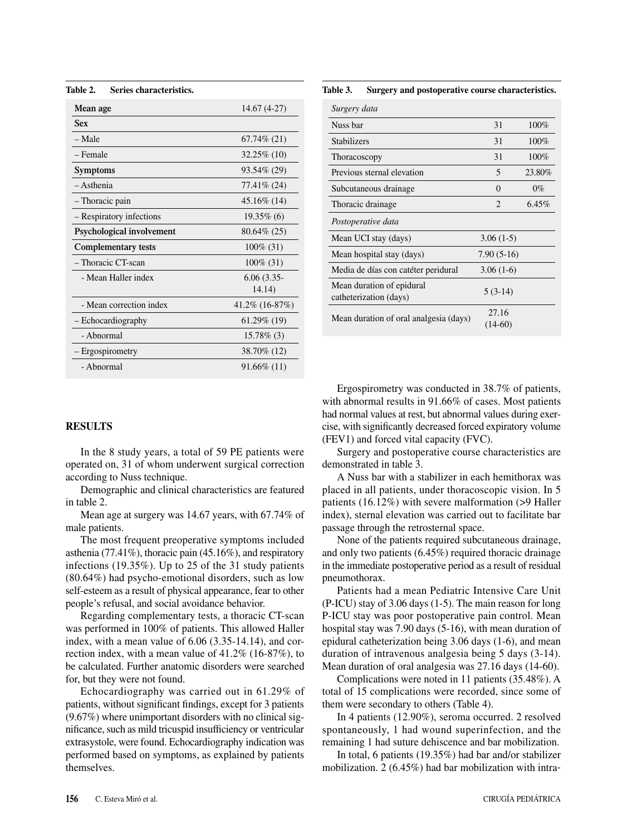**Table 2. Series characteristics.**

| Mean age                   | $14.67(4-27)$      |
|----------------------------|--------------------|
| <b>Sex</b>                 |                    |
| – Male                     | $67.74\%$ (21)     |
| – Female                   | $32.25\%$ (10)     |
| <b>Symptoms</b>            | 93.54\% (29)       |
| – Asthenia                 | $77.41\%$ (24)     |
| - Thoracic pain            | $45.16\%$ (14)     |
| - Respiratory infections   | $19.35\%$ (6)      |
| Psychological involvement  | $80.64\%$ (25)     |
| <b>Complementary tests</b> | $100\%$ (31)       |
| – Thoracic CT-scan         | $100\%$ (31)       |
| - Mean Haller index        | $6.06(3.35 -$      |
|                            | 14.14)             |
| - Mean correction index    | $41.2\%$ (16-87\%) |
| - Echocardiography         | $61.29\%$ (19)     |
| - Abnormal                 | $15.78\%$ (3)      |
| – Ergospirometry           | 38.70\% (12)       |
| - Abnormal                 | $91.66\%$ (11)     |

#### **RESULTS**

In the 8 study years, a total of 59 PE patients were operated on, 31 of whom underwent surgical correction according to Nuss technique.

Demographic and clinical characteristics are featured in table 2.

Mean age at surgery was 14.67 years, with 67.74% of male patients.

The most frequent preoperative symptoms included asthenia (77.41%), thoracic pain (45.16%), and respiratory infections (19.35%). Up to 25 of the 31 study patients (80.64%) had psycho-emotional disorders, such as low self-esteem as a result of physical appearance, fear to other people's refusal, and social avoidance behavior.

Regarding complementary tests, a thoracic CT-scan was performed in 100% of patients. This allowed Haller index, with a mean value of 6.06 (3.35-14.14), and correction index, with a mean value of 41.2% (16-87%), to be calculated. Further anatomic disorders were searched for, but they were not found.

Echocardiography was carried out in 61.29% of patients, without significant findings, except for 3 patients (9.67%) where unimportant disorders with no clinical significance, such as mild tricuspid insufficiency or ventricular extrasystole, were found. Echocardiography indication was performed based on symptoms, as explained by patients themselves.

**Table 3. Surgery and postoperative course characteristics.**

| Surgery data                                        |                    |         |
|-----------------------------------------------------|--------------------|---------|
| Nuss bar                                            | 31                 | $100\%$ |
| <b>Stabilizers</b>                                  | 31                 | $100\%$ |
| Thoracoscopy                                        | 31                 | $100\%$ |
| Previous sternal elevation                          | 5                  | 23.80%  |
| Subcutaneous drainage                               | $\theta$           | $0\%$   |
| Thoracic drainage                                   | 2                  | 6.45%   |
| Postoperative data                                  |                    |         |
| Mean UCI stay (days)                                | $3.06(1-5)$        |         |
| Mean hospital stay (days)                           | $7.90(5-16)$       |         |
| Media de días con catéter peridural                 | $3.06(1-6)$        |         |
| Mean duration of epidural<br>catheterization (days) | $5(3-14)$          |         |
| Mean duration of oral analgesia (days)              | 27.16<br>$(14-60)$ |         |

Ergospirometry was conducted in 38.7% of patients, with abnormal results in 91.66% of cases. Most patients had normal values at rest, but abnormal values during exercise, with significantly decreased forced expiratory volume (FEV1) and forced vital capacity (FVC).

Surgery and postoperative course characteristics are demonstrated in table 3.

A Nuss bar with a stabilizer in each hemithorax was placed in all patients, under thoracoscopic vision. In 5 patients (16.12%) with severe malformation (>9 Haller index), sternal elevation was carried out to facilitate bar passage through the retrosternal space.

None of the patients required subcutaneous drainage, and only two patients (6.45%) required thoracic drainage in the immediate postoperative period as a result of residual pneumothorax.

Patients had a mean Pediatric Intensive Care Unit (P-ICU) stay of 3.06 days (1-5). The main reason for long P-ICU stay was poor postoperative pain control. Mean hospital stay was 7.90 days (5-16), with mean duration of epidural catheterization being 3.06 days (1-6), and mean duration of intravenous analgesia being 5 days (3-14). Mean duration of oral analgesia was 27.16 days (14-60).

Complications were noted in 11 patients (35.48%). A total of 15 complications were recorded, since some of them were secondary to others (Table 4).

In 4 patients (12.90%), seroma occurred. 2 resolved spontaneously, 1 had wound superinfection, and the remaining 1 had suture dehiscence and bar mobilization.

In total, 6 patients (19.35%) had bar and/or stabilizer mobilization. 2 (6.45%) had bar mobilization with intra-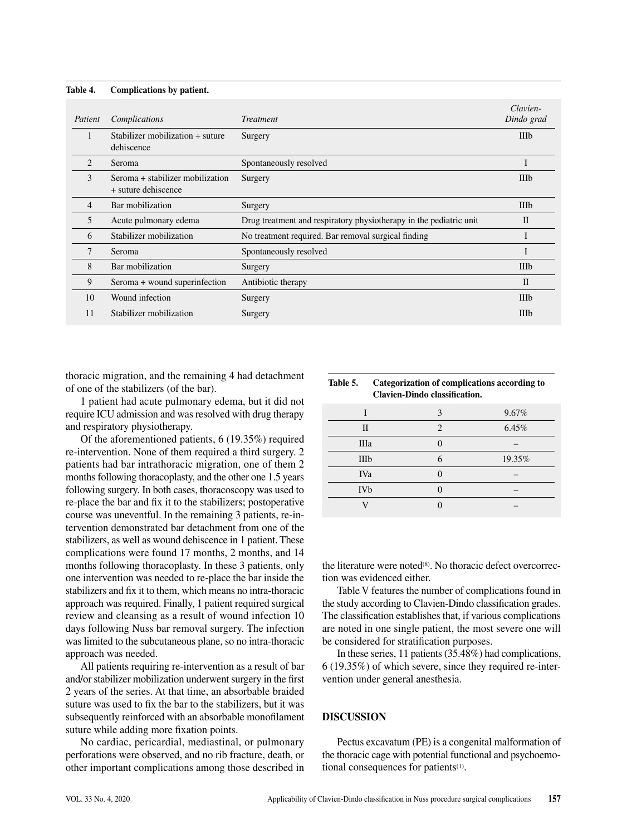#### **Table 4. Complications by patient.**

| Patient               | Complications                                           | <i>Treatment</i>                                                   | Clavien-<br>Dindo grad |
|-----------------------|---------------------------------------------------------|--------------------------------------------------------------------|------------------------|
|                       | Stabilizer mobilization + suture<br>dehiscence          | Surgery                                                            | <b>IIIb</b>            |
| $\mathcal{D}_{\cdot}$ | Seroma                                                  | Spontaneously resolved                                             | I                      |
| 3                     | Seroma + stabilizer mobilization<br>+ suture dehiscence | Surgery                                                            | IIIb                   |
| 4                     | Bar mobilization                                        | Surgery                                                            | IIIb                   |
| 5                     | Acute pulmonary edema                                   | Drug treatment and respiratory physiotherapy in the pediatric unit | $\mathbf{I}$           |
| 6                     | Stabilizer mobilization                                 | No treatment required. Bar removal surgical finding                | I                      |
| 7                     | Seroma                                                  | Spontaneously resolved                                             | I                      |
| 8                     | Bar mobilization                                        | Surgery                                                            | IIIb                   |
| 9                     | Seroma + wound superinfection                           | Antibiotic therapy                                                 | $\mathbf{I}$           |
| 10                    | Wound infection                                         | Surgery                                                            | IIIb                   |
| 11                    | Stabilizer mobilization                                 | Surgery                                                            | IIIb                   |

thoracic migration, and the remaining 4 had detachment of one of the stabilizers (of the bar).

1 patient had acute pulmonary edema, but it did not require ICU admission and was resolved with drug therapy and respiratory physiotherapy.

Of the aforementioned patients, 6 (19.35%) required re-intervention. None of them required a third surgery. 2 patients had bar intrathoracic migration, one of them 2 months following thoracoplasty, and the other one 1.5 years following surgery. In both cases, thoracoscopy was used to re-place the bar and fix it to the stabilizers; postoperative course was uneventful. In the remaining 3 patients, re-intervention demonstrated bar detachment from one of the stabilizers, as well as wound dehiscence in 1 patient. These complications were found 17 months, 2 months, and 14 months following thoracoplasty. In these 3 patients, only one intervention was needed to re-place the bar inside the stabilizers and fix it to them, which means no intra-thoracic approach was required. Finally, 1 patient required surgical review and cleansing as a result of wound infection 10 days following Nuss bar removal surgery. The infection was limited to the subcutaneous plane, so no intra-thoracic approach was needed.

All patients requiring re-intervention as a result of bar and/or stabilizer mobilization underwent surgery in the first 2 years of the series. At that time, an absorbable braided suture was used to fix the bar to the stabilizers, but it was subsequently reinforced with an absorbable monofilament suture while adding more fixation points.

No cardiac, pericardial, mediastinal, or pulmonary perforations were observed, and no rib fracture, death, or other important complications among those described in

| Table 5. | Categorization of complications according to |  |
|----------|----------------------------------------------|--|
|          | Clavien-Dindo classification.                |  |

|            | 3 | 9.67%  |
|------------|---|--------|
| П          | 2 | 6.45%  |
| IIIa       |   |        |
| IIIb       | 6 | 19.35% |
| <b>IVa</b> |   |        |
| <b>IVb</b> |   |        |
|            |   |        |

the literature were noted $(8)$ . No thoracic defect overcorrection was evidenced either.

Table V features the number of complications found in the study according to Clavien-Dindo classification grades. The classification establishes that, if various complications are noted in one single patient, the most severe one will be considered for stratification purposes.

In these series, 11 patients (35.48%) had complications, 6 (19.35%) of which severe, since they required re-intervention under general anesthesia.

## **DISCUSSION**

Pectus excavatum (PE) is a congenital malformation of the thoracic cage with potential functional and psychoemotional consequences for patients<sup>(1)</sup>.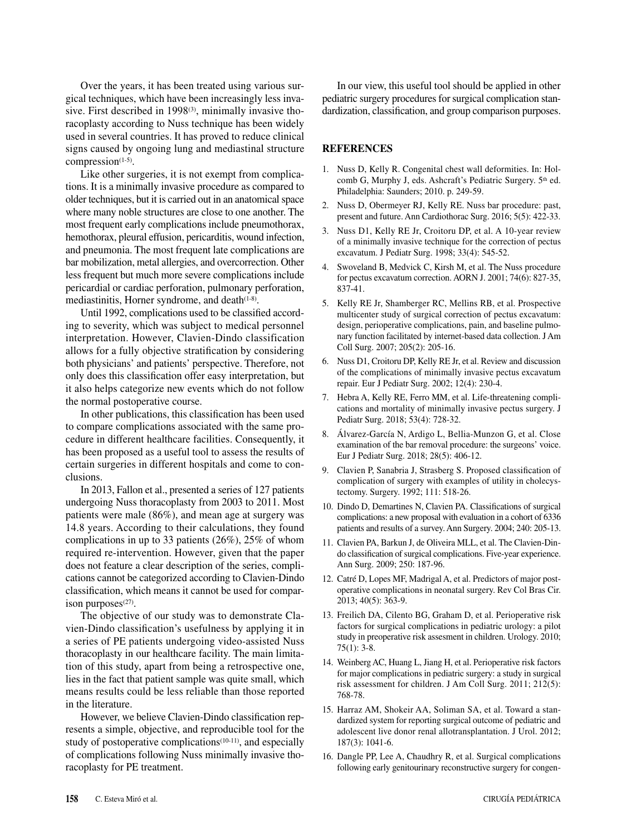Over the years, it has been treated using various surgical techniques, which have been increasingly less invasive. First described in 1998<sup>(3)</sup>, minimally invasive thoracoplasty according to Nuss technique has been widely used in several countries. It has proved to reduce clinical signs caused by ongoing lung and mediastinal structure compression<sup>(1-5)</sup>.

Like other surgeries, it is not exempt from complications. It is a minimally invasive procedure as compared to older techniques, but it is carried out in an anatomical space where many noble structures are close to one another. The most frequent early complications include pneumothorax, hemothorax, pleural effusion, pericarditis, wound infection, and pneumonia. The most frequent late complications are bar mobilization, metal allergies, and overcorrection. Other less frequent but much more severe complications include pericardial or cardiac perforation, pulmonary perforation, mediastinitis, Horner syndrome, and death $(1-8)$ .

Until 1992, complications used to be classified according to severity, which was subject to medical personnel interpretation. However, Clavien-Dindo classification allows for a fully objective stratification by considering both physicians' and patients' perspective. Therefore, not only does this classification offer easy interpretation, but it also helps categorize new events which do not follow the normal postoperative course.

In other publications, this classification has been used to compare complications associated with the same procedure in different healthcare facilities. Consequently, it has been proposed as a useful tool to assess the results of certain surgeries in different hospitals and come to conclusions.

In 2013, Fallon et al., presented a series of 127 patients undergoing Nuss thoracoplasty from 2003 to 2011. Most patients were male (86%), and mean age at surgery was 14.8 years. According to their calculations, they found complications in up to 33 patients (26%), 25% of whom required re-intervention. However, given that the paper does not feature a clear description of the series, complications cannot be categorized according to Clavien-Dindo classification, which means it cannot be used for comparison purposes $(27)$ .

The objective of our study was to demonstrate Clavien-Dindo classification's usefulness by applying it in a series of PE patients undergoing video-assisted Nuss thoracoplasty in our healthcare facility. The main limitation of this study, apart from being a retrospective one, lies in the fact that patient sample was quite small, which means results could be less reliable than those reported in the literature.

However, we believe Clavien-Dindo classification represents a simple, objective, and reproducible tool for the study of postoperative complications<sup> $(10-11)$ </sup>, and especially of complications following Nuss minimally invasive thoracoplasty for PE treatment.

In our view, this useful tool should be applied in other pediatric surgery procedures for surgical complication standardization, classification, and group comparison purposes.

## **REFERENCES**

- 1. Nuss D, Kelly R. Congenital chest wall deformities. In: Holcomb G, Murphy J, eds. Ashcraft's Pediatric Surgery. 5th ed. Philadelphia: Saunders; 2010. p. 249-59.
- 2. Nuss D, Obermeyer RJ, Kelly RE. Nuss bar procedure: past, present and future. Ann Cardiothorac Surg. 2016; 5(5): 422-33.
- 3. Nuss D1, Kelly RE Jr, Croitoru DP, et al. A 10-year review of a minimally invasive technique for the correction of pectus excavatum. J Pediatr Surg. 1998; 33(4): 545-52.
- 4. Swoveland B, Medvick C, Kirsh M, et al. The Nuss procedure for pectus excavatum correction. AORN J. 2001; 74(6): 827-35, 837-41.
- 5. Kelly RE Jr, Shamberger RC, Mellins RB, et al. Prospective multicenter study of surgical correction of pectus excavatum: design, perioperative complications, pain, and baseline pulmonary function facilitated by internet-based data collection. J Am Coll Surg. 2007; 205(2): 205-16.
- 6. Nuss D1, Croitoru DP, Kelly RE Jr, et al. Review and discussion of the complications of minimally invasive pectus excavatum repair. Eur J Pediatr Surg. 2002; 12(4): 230-4.
- 7. Hebra A, Kelly RE, Ferro MM, et al. Life-threatening complications and mortality of minimally invasive pectus surgery. J Pediatr Surg. 2018; 53(4): 728-32.
- 8. Álvarez-García N, Ardigo L, Bellia-Munzon G, et al. Close examination of the bar removal procedure: the surgeons' voice. Eur J Pediatr Surg. 2018; 28(5): 406-12.
- 9. Clavien P, Sanabria J, Strasberg S. Proposed classification of complication of surgery with examples of utility in cholecystectomy. Surgery. 1992; 111: 518-26.
- 10. Dindo D, Demartines N, Clavien PA. Classifications of surgical complications: a new proposal with evaluation in a cohort of 6336 patients and results of a survey. Ann Surgery. 2004; 240: 205-13.
- 11. Clavien PA, Barkun J, de Oliveira MLL, et al. The Clavien-Dindo classification of surgical complications. Five-year experience. Ann Surg. 2009; 250: 187-96.
- 12. Catré D, Lopes MF, Madrigal A, et al. Predictors of major postoperative complications in neonatal surgery. Rev Col Bras Cir. 2013; 40(5): 363-9.
- 13. Freilich DA, Cilento BG, Graham D, et al. Perioperative risk factors for surgical complications in pediatric urology: a pilot study in preoperative risk assesment in children. Urology. 2010; 75(1): 3-8.
- 14. Weinberg AC, Huang L, Jiang H, et al. Perioperative risk factors for major complications in pediatric surgery: a study in surgical risk assessment for children. J Am Coll Surg. 2011; 212(5): 768-78.
- 15. Harraz AM, Shokeir AA, Soliman SA, et al. Toward a standardized system for reporting surgical outcome of pediatric and adolescent live donor renal allotransplantation. J Urol. 2012; 187(3): 1041-6.
- 16. Dangle PP, Lee A, Chaudhry R, et al. Surgical complications following early genitourinary reconstructive surgery for congen-